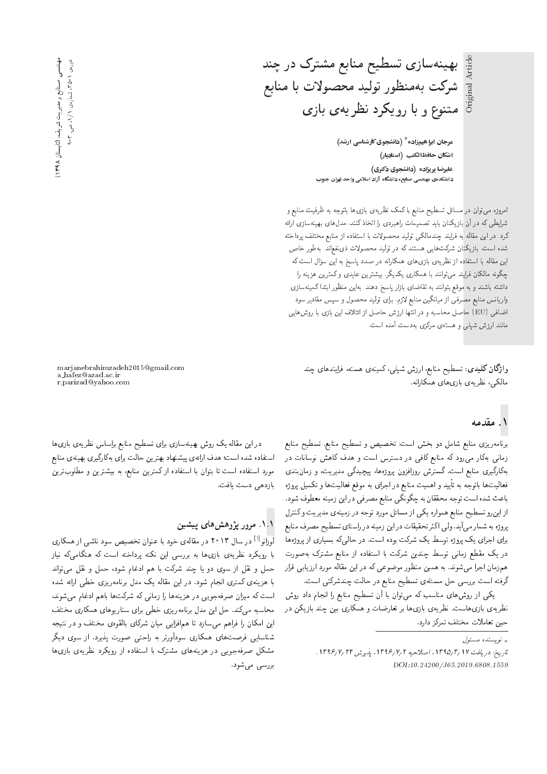بهینهسازی تسطیح منابع مشترک در چند Original Article Original Article شركت بهمنظور توليد محصولات با منابع متنوع و با رویکرد نظریهی بازی

> هرجان ابراهیمزاده $^*$  (دانشجوی کارشناسی ارشد) |شكان حافظ|لكتب (استاديار) علیرضا پریزاده (دانشجوی دکتری) ?wvH u=QyD OL=w |tqU= O=R; x=oWv=O '`}=vY |UOvyt |xOmWv=O

امروزه میتوان در مسائل تسطیح منابع با کمک نظریهی بازی ها باتوجه به ظرفیت منابع و شرایطی که در آن بازیکنان باید تصمیمات راهبردی را اتخاذ کنند، مدل های بهینهسازی ارائه كرد. در اين مقاله به فرايند چندمالكي توليد محصولات با استفاده از منابع مختلف پرداخته شده است. بازیکنان شرکت هایی هستند که در تولید محصولات ذی:فع|ند. بهطور خاص این مقاله با استفاده از نظریهی بازی های همدارانه در صدد پاسخ به این سوال است که<br>گرمین این مسئل میشود و مسئل است. - چدونه مالدان فرايند مى نوانند با همدارى يدنيدر، بيسترين عايدى و دمترين هزينه را<br>ما در ايضا داشته باشند و به موقع بتوانند به تقاضاى بازار ياسخ دهند. بهاين منظور ابتدا كمينهسازى واریانس منابع مصرفی از میانگین منابع لازم، برای تولید محصول و سپس مقادیر سود اضافی (EU) حاصل محاسبه و در انتها ارزش حاصل از ائتلاف این بازی با روش هایی مانند ارزش شپلی و هستهی مرکزی بهدست آمده است.

واژگان کلیدی: تسطیح منابع، ارزش شپلی، کمینهی هسته، فرایندهای چند مالکی، نظریهی بازی های همکارانه.

marjanebrahimzadeh2015@gmail.com a hafez@azad.ac.ir r.parizad@yahoo.com

## ۱. مقدمه

برنامهريزي منابع شامل دو بخش است: تخصيص و تسطيح منابع منابع زمانی بهکار میرود که منابع کافی در دسترس است و هدف کاهش نوسانات در بەكارگيرى منابع است. گسترش روزافزون پروژەها، پيچيدگى مديريت، و زمان بندى فعالیتها باتوجه به تأیید و اهمیت منابع در اجرای به موقع فعالیتها و تکمیل پروژه<br>است در ایران باعث شده است توجه محققان به چگونگی منابع مصرفی در این زمینه معطوف شود. از این رو تسطیح منابع همواره یکی از مسائل مورد توجه در زمینهی مدیریت وکنترل پروژه به شمار میآید. ولی اکثر تحقیقات در این زمینه در راستای تسطیح مصرف منابع برای اجرای یک پروژه توسط یک شرکت بوده است. در حالی که بسیاری از پروژهها در یک مقطع زمان<sub>ی</sub> توسط چندین شرکت با استفاده از منابع مشترک بهصورت همزمان اجرا میشوند. به همین منظور موضوعی که در این مقاله مورد ارزیابی قرار گرفته است بررسی حل مسئلهی تسطیح منابع در حالت چندشرکتی است.

یکی از روشهای مناسب که میتوان با آن تسطیح منابع را انجام داد روش نظریهی بازی،است. نظریهی بازی،ا بر تعارضات و همکاری بین چند بازیکن در حين تعاملات مختلف تمركز دارد.

در این مقاله یک روش بهینهسازی برای تسطیح منابع براساس نظریهی بازیها استفاده شده است؛ هدف ارائهي پيشنهاد بهترين حالت براي بهكارگيري بهينهي منابع مورد استفاده است تا بتوان با استفاده از کمترین منابع، به بیشترین و مطلوبترین بازدهی دست یافت.

#### ۱.۱. مرور پژوهش های پیشین

لوزانو<sup>[۱]</sup> در سال ۲۰۱۳ در مقالهی خود با عنوان تخصیص سود ناشی از همکاری<br>است که مطالب است است است. با رویکرد نظریهی بازیها به بررسی این نکته برداخته است که هنگامیکه نیاز حمل و نقل از سوی دو یا چند شرکت با هم ادغام شود، حمل و نقل می;تواند با هزینهی کمتری انجام شود. در این مقاله یک مدل برنامهریزی خطی ارائه شده است که میزان صرفهجویی در هزینهها را زمانی که شرکتها باهم ادغام می شوند، محاسبه میکند. حل این مدل برنامهریزی خطی برای سناریوهای همکاری مختلف این امکان را فراهم میسازد تا همافزایی میان شرکای بالقوهی مختلف و در نتیجه شناسایی فرصتهای همکاری سودآورنر به راحتی صورت پذیرد. از سوی دیگر مشکل صرفهجویی در هزینههای مشترک با استفاده از رویکرد نظریهی بازیها بررسي مي شود.

<sup>»</sup> نویسنده مسئول

تاريخ: دريافت ١٣٩٥/٢/ ١٣٩٥، اصلاحيه ١٣٩۶/ ١٣٩۶، يذيرش ١٣٩۶/٧/٢٢. DOI:10.24200/J65.2019.6808.1559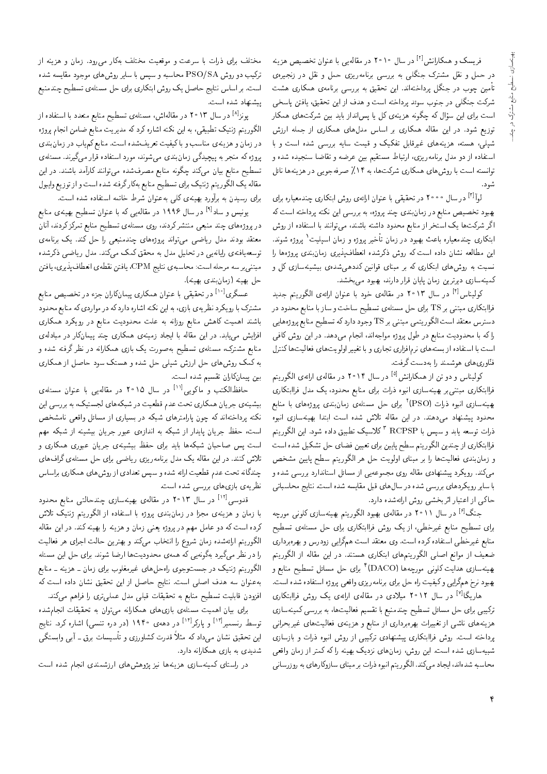ِ فریسک و همکارانش<sup>[۲]</sup> در سال ۲۰۱۰ در مقالهیی با عنوان تخصیص هزینه در حمل و نقل مشترک جنگلبی به بررسی برنامهریزی حمل و نقل در زنجیرهی تأمین چوب در جنگل پرداختهاند. این تحقیق به بررسی برنامهی همکاری هشت شرکت جنگلی در جنوب سوئد پرداخته است و هدف از این تحقیق، یافتن پاسخی است برای این سؤال که چگونه هزینهی کل یا پس!نداز باید بین شرکتهای همکار توزیع شود. در این مقاله همکاری بر اساس مدلهای همکاری از جمله ارزش شیلمی، هسته، هزینههای غیرقابل تفکیک و قیمت سایه بررسی شده است و با استفاده از دو مدل برنامهریزی، ارتباط مستقیم بین عرضه و تقاضا سنجیده شده و توانسته است با روش های همکاری شرکت ها، به ۱۴٪ صرفه جویبی در هزینه ها نائل شود.

لواً<sup>[۲]</sup> در سال °°°۲ در تحقیقی با عنوان ارائهی روش ابتکاری چندمعیاره برای بهبود تخصیص منابع در زمان بندی چند پروژه، به بررسی این نکته پرداخته است که اگر شرکتها یک استخر از منابع محدود داشته باشند، میتوانند با استفاده از روش ابتکاری چندمعیاره باعث بهبود در زمان تأخیر پروژه و زمان اسپلیت ٬ پروژه شوند. این مطالعه نشان داده است که روش ذکرشده انعطافپذیری زمان بندی پروژهها را نسبت به روشهای ابتکاری که بر مبنای قوانین کددهیشدهی بیشینهسازی کل و کمینهسازی دیرترین زمان پایان قرار دارند، بهبود می بخشد.

کولیناس<sup>[۲]</sup> در سال ۲۰۱۳ در مقالهی خود با عنوان ارائهی الگوریتم جدید فراابتکاری مبتنبی بر TS برای حل مسئلهی تسطیح ساخت و ساز با منابع محدود در دسترس معتقد است الگوريتمي مبتنى بر TS وجود دارد كه تسطيح منابع پروژههايي راکه با محدودیت منابع در طول پروژه مواجهاند، انجام میدهد. در این روش کافی است با استفاده از بستههای نرمافزاری تجاری و با تغییر اولویتهای فعالیتها کنترل فنَّاوری،ای هوشمند را بهدست گرفت.

کولیناس و دو تن از همکارانش<sup>[۵]</sup> در سال ۲۰۱۴ در مقالهی ارائهی الگوریتم فراابتکاری مبتنی بر بهینهسازی انبوه ذرات برای منابع محدود، یک مدل فراابتکاری بهینهسازی انبوه ذرات (PSO)<sup>۲</sup> برای حل مسئلهی زمانبندی پروژههای با منابع محدود پیشنهاد میدهند. در این مقاله تلاش شده است ابتدا بهینهسازی انبوه ذرات توسعه يابد و سپس با RCPSP <sup>۳</sup> كلاسيك تطبيق داده شود. اين الگوريتم فراابتکاری از چندین الگوریتم سطح پایین برای تعیین فضای حل تشکیل شده است و زمانبندی فعالیتها را بر مبنای اولویت حل هر الگوریتم سطح پایین مشخص میکند. رویکرد پیشنهادی مقاله روی مجموعهیی از مسائل استاندارد بررسی شده و با سایر رویکردهای بررسی شده در سال های قبل مقایسه شده است. نتایج محاسباتی حاکی از اعتبار اثربخشی روش ارائهشده دارد.

جنگ<sup>[۶]</sup> در سال ۲۰۱۱ در مقالهی بهبود الگوریتم بهینهسازی کلونی مورچه برای تسطیح منابع غیرخطی، از یک روش فراابتکاری برای حل مسئلهی تسطیح منابع غیرخطی استفاده کرده است. وی معتقد است همگرایی زودرس و بهرهبرداری ضعیف از موانع اصلی الگوریتمهای ابتکاری هستند. در این مقاله از الگوریتم بهينهسازي هدايت كلوني مورجهها (DACO)<sup>1</sup> براي حل مسائل تسطيح منابع و بهبود نرخ همگرايي وكيفيت راه حل براي برنامه ريزي واقعي پروژه استفاده شده است.

هاریگا<sup>[۷]</sup> در سال ۲۰۱۲ میلادی در مقالهی ارائهی یک روش فراابتکاری ترکیبی برای حل مسائل تسطیح چندمنبع با تقسیم فعالیتها، به بررسی کمینهسازی هزینههای ناشبی از تغییرات بهرهبرداری از منابع و هزینهی فعالیتهای غیربحرانبی پرداخته است. روش فراابتکاری پیشنهادی ترکیبی از روش انبوه ذرات و بازسازی شبیهسازی شده است. این روش، زمانهای نزدیک بهینه را که کمتر از زمان واقعی محاسبه شدهاند، ایجاد میکند. الگوریتم انبوه ذرات بر مبنای سازوکارهای به روزرسانی

مختلف برای ذرات با سرعت و موقعیت مختلف بهکار می رود. زمان و هزینه از ترکیب دو روش PSO/SA محاسبه و سپس با سایر روشهای موجود مقایسه شده است. بر اساس نتایج حاصل یک روش ابتکاری برای حل مسئلهی تسطیح چندمنبع پیشنهاد شده است.

یونز<sup>[۸]</sup> در سال ۲۰۱۳ در مقالهاش، مسئلهی تسطیح منابع متعدد با استفاده از الگوریتم ژنتیک تطبیقی، به این نکته اشاره کرد که مدیریت منابع ضامن انجام پروژه در زمان و هزینهی مناسب و با کیفیت تعریفشده است. منابع کم یاب در زمان بندی پروژه که منجر به پیچیدگی زمان بندی می شوند، مورد استفاده قرار میگیرند. مسئلهی تسطیح منابع بیان میکند چگونه منابع مصرفشده می توانند کارآمد باشند. در این مقاله یک الگوریتم ژنتیک برای تسطیح منابع بهکارگرفته شده است و از توزیع وایبول برای رسیدن به برآورد بهینهی کلبی بهعنوان شرط خاتمه استفاده شده است.

یونیس و ساد<sup>[۹]</sup> در سال ۱۹۹۶ در مقالهیی که با عنوان تسطیح بهینهی منابع در پروژههای چند منبعی منتشرکردند. روی مسئلهی تسطیح منابع تمرکزکردند. آنان معتقد بودند مدل ریاضی میتواند پروژههای چندمنبعی را حل کند. یک برنامهی توسعه یافتهی رایانه یی در تحلیل مدل به محقق کمک میکند. مدل ریاضی ذکرشده مبتنى بر سه مرحله است: محاسبهى نتايج CPM، يافتن نقطهى انعطاف پذيرى، يافتن حل بهينه (زمانبندى بهينه).

عسگری<sup>[۱۰]</sup> در تحقیقی با عنوان همکاری پیمانکاران جزء در تخصیص منابع مشترک با رویکرد نظریهی بازی، به این نکته اشاره دارد که در مواردی که منابع محدود باشند اهمیت کاهش منابع روزانه به علت محدودیت منابع در رویکرد همکاری افزایش مهیابد. در این مقاله با ایجاد زمینهی همکاری چند پیمانکار در مبادلهی منابع مشترک، مسئلهی تسطیح بهصورت یک بازی همکارانه در نظر گرفته شده و به کمک روشهای حل ارزش شپلی حل شده و هستک سود حاصل از همکاری بین پیمانکاران تقسیم شده است.

حافظالکتب و ماکویی<sup>[۱۱]</sup> در سال ۲۰۱۵ در مقالهیی با عنوان مسئلهی بیشینهی جریان همکاری تحت عدم قطعیت در شبکههای لجستیک، به بررسی این نکته پرداختهاند که چون پارامترهای شبکه در بسیاری از مسائل واقعی نامشخص است، حفظ جریان پایدار از شبکه به اندازهی عبور جریان بیشینه از شبکه مهم است پس صاحبان شبکهها باید برای حفظ بیشینهی جریان عبوری همکاری و تلاش کنند. در این مقاله یک مدل برنامهریزی ریاضی برای حل مسئلهی گراف های چندگانه تحت عدم قطعیت ارائه شده و سپس تعدادی از روش های همکاری براساس نظریهی بازی های بررسی شده است.

قدوسی<sup>[۱۲]</sup> در سال ۲۰۱۳ در مقالهی بهینهسازی چندحالت<sub>ی</sub> منابع محدود با زمان و هزینهی مجزا در زمان بندی پروژه با استفاده از الگوریتم ژنتیک تلاش کرده است که دو عامل مهم در پروژه یعنی زمان و هزینه را بهینه کند. در این مقاله الگوريتم ارائهشده زمان شروع را انتخاب مىكند و بهترين حالت اجراى هر فعاليت را در نظر میگیرد بهگونه یی که همهی محدودیتها ارضا شوند. برای حل این مسئله الگوریتم ژنتیک در جستوجوی راهحلهای غیرمغلوب برای زمان ــ هزینه ــ منابع بهعنوان سه هدف اصلی است. نتایج حاصل از این تحقیق نشان داده است که افزودن قابلیت تسطیح منابع به تحقیقات قبلی مدل عملیتری را فراهم میکند.

برای بیان اهمیت مسئلهی بازی های همکارانه می توان به تحقیقات انجام شده توسط رنسمیرا<sup>۱۰۳]</sup> و پارکر<sup>[۱۴]</sup> در دههی ۱۹۴۰ (در دره تنسی) اشاره کرد. نتایج این تحقیق نشان میداد که مثلاً قدرت کشاورزی و تأسیسات برق ــ آبی وابستگی شدیدی به بازی همکارانه دارد.

در راستای کمینهسازی هزینهها نیز پژوهشهای ارزشمندی انجام شده است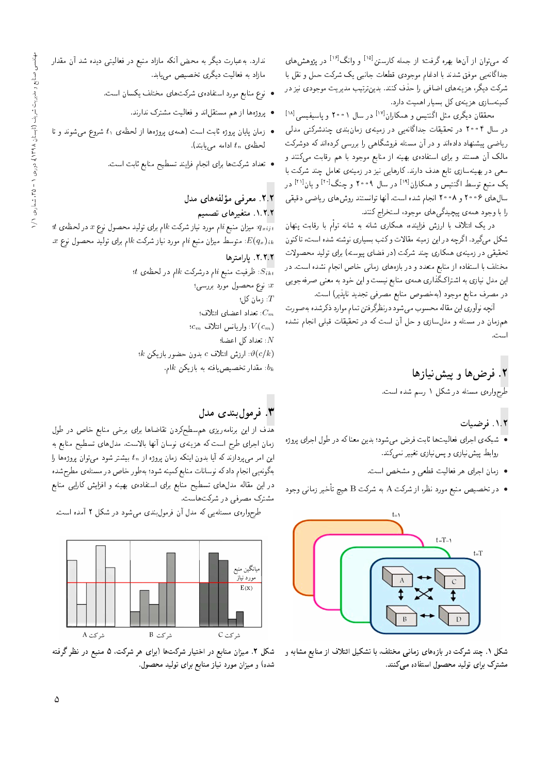که میتوان از آنها بهره گرفت؛ از جمله کارستن<sup>[۱۵]</sup> و وانگ<sup>[۱۶]</sup> در پژوهشهای جداگانهیی موفق شدند با ادغام موجودی قطعات جانبی یک شرکت حمل و نقل با شرکت دیگر، هزینههای اضافی را حذف کنند. بدینترتیب مدیریت موجودی نیز در کمینهسازی هزینهی کل بسیار اهمیت دارد.

محققان دیگری مثل اگنتیس و همکاران<sup>[۱۷]</sup> در سال ۲۰۰۱ و پاسیفیسی<sup>[۱۸]</sup> در سال ۲۰۰۴ در تحقیقات جداگانه یی در زمینهی زمان بندی چندشرکتبی مدلی ریاضی پیشنهاد دادهاند و در آن مسئله فروشگاهی را بررسی کردهاند که دوشرکت مالک آن هستند و برای استفادهی بهینه از منابع موجود با هم رقابت میکنند و سعی در بهینهسازی تابع هدف دارند. کارهایی نیز در زمینهی تعامل چند شرکت با یک منبع توسط اگنتیس و همکاران<sup>[۱۹]</sup> در سال ۲۰۰۹ و چنگ<sup>[۱۶]</sup> و یان<sup>[۲۱]</sup> در سال های ۲۰۰۶ و ۲۰۰۸ انجام شده است. آنها توانستند روش های ریاضی دقیقی را با وجود همهءی پیچیدگی۵ای موجود، استخراج کنند.

در یک ائتلاف با ارزش فزاینده، همکاری شانه به شانه توأم با رقابت پنهان شکل میگیرد. اگرچه در این زمینه مقالات وکتب بسیاری نوشته شده است، تاکنون تحقیقی در زمینهی همکاری چند شرکت (در فضای پیوسته) برای تولید محصولات مختلف با استفاده از منابع متعدد و در بازههای زمانی خاص انجام نشده است. در این مدل نیازی به اشتراکگذاری همهی منابع نیست و این خود به معنی صرفهجویی در مصرف منابع موجود (بهخصوص منابع مصرفی تجدید ناپذیر) است.

آنچه نوآوري اين مقاله محسوب ميشود درنظرگرفتن تمام موارد ذكرشده به صورت همزمان در مسئله و مدلسازی و حل آن است که در تحقیقات قبلی انجام نشده

## ۲. فرضها و پیش نیازها

طرحوارهی مسئله در شکل ۱ رسم شده است.

#### ۰۱.۲ فرضیات

- شبکهی اجرای فعالیتها ثابت فرض میشود؛ بدین معناکه در طول اجرای پروژه روابط پیش نیازی و پس نیازی تغییر نمیکند.
	- زمان اجرای هر فعالیت قطعی و مشخص است.
- در تخصیص منبع مورد نظر، از شرکت A به شرکت B هیچ تأخیر زمانبی وجود



شکل ۱. چند شرکت در بازههای زمانی مختلف، با تشکیل ائتلاف از منابع مشابه و مشترک برای تولید محصول استفاده میکنند.

ندارد. به عبارت دیگر به محض آنکه مازاد منبع در فعالیتی دیده شد آن مقدار مازاد به فعالیت دیگری تخصیص می یابد.

- نوع منابع مورد استفادهى شركتهاى مختلف يكسان است.
	- پروژهها از هم مستقلاند و فعالیت مشترک ندارند.
- و زمان پایان پروژه ثابت است (همهی پروژهها از لحظهی د $t_1$  شروع میشوند و تا  $\bullet$ لحظهى  $t_n$  ادامه مى يابند).
	- تعداد شركت ها براى انجام فرايند تسطيح منابع ثابت است.

#### ۲.۲. معرفی مؤلفه های مدل ۰۱.۲.۲ متغیرهای تصمیم

 $\cdot t$  : میزان منبع  $i$ ام مورد نیاز شرکت  $k$ ام برای تولید محصول نوع  $x$  در لحظه $q_{xijt}$ . $x$  ام برای تولید محصول نوع  $i$  مقررد نیاز شرکت  $k$ ام برای تولید محصول نوع $E(q_x)_{ik}$ 

#### ٢.٢.٢. بارامترها

 $t$  : ظرفیت منبع  $i$ ام درشرکت  $k$ ام در لحظه $S_{i\boldsymbol{k}t}$ z: نوع محصول مورد بررسي؛  $\cdot$ زمان كل $T$ : تعداد اعضای ائتلاف؛  $\tilde{C}_m$  $c_m$  واریانس ائتلاف  $V(c_m)$  $\cdot$  تعداد کل اعضا $N$  $k$  : ارزش ائتلاف  $c$  بدون حضور بازیکن  $\vartheta(c/k)$ . مقدار تخصیصیافته به بازیکن  $k$ ام.

### ۳. فرمول بندی مدل

.<br>هدف از این برنامهریزی همسطحکردن تقاضاها برای برخی منابع خاص در طول زمان اجرای طرح است که هزینهی نوسان أنها بالاست. مدلهای تسطیح منابع به این امر می $\zeta$ ردازند که آیا بدون اینکه زمان پروژه از  $t_n$  بیشتر شود می $\bar{\zeta}$ وان پروژهها را بهگونه یی انجام دادکه نوسانات منابع کمینه شود؛ بهطور خاص در مسئلهى مطرح شده در این مقاله مدلهای تسطیح منابع برای استفادهی بهینه و افزایش کارایی منابع مشترک مصرفی در شرکتهاست.

طرحواره ی مسئلهیی که مدل آن فرمولبندی میشود در شکل ۲ آمده است.



شکل ۲. میزان منابع در اختیار شرکتها (برای هر شرکت، ۵ منبع در نظر گرفته شده) و میزان مورد نیاز منابع برای تولید محصول.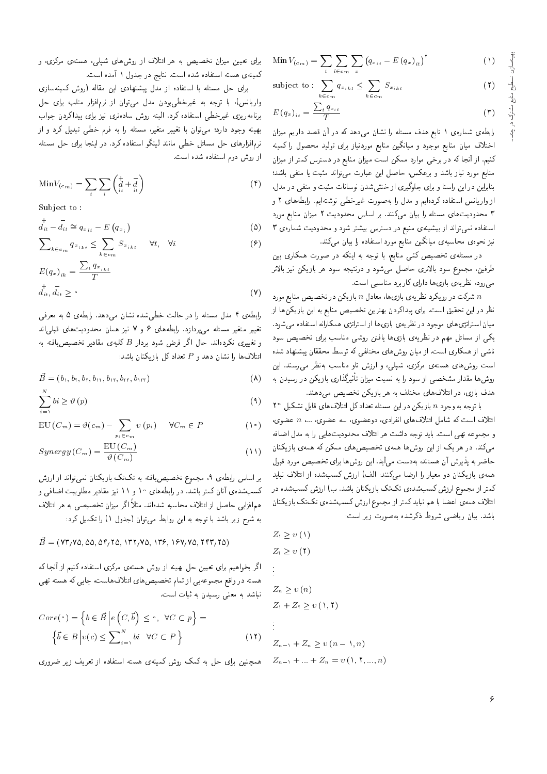$(1)$ 

Min 
$$
V_{(c_m)} = \sum_{t} \sum_{i \in c_m} \sum_{x} (q_{x_{it}} - E (q_x)_{it})^{\dagger}
$$
 (1)

subject to: 
$$
\sum_{k \in c_m} q_{x_{ikt}} \leq \sum_{k \in c_m} S_{x_{ikt}}
$$

$$
E(q_x)_{it} = \frac{\sum_t q_{x_{it}}}{T} \tag{7}
$$

رابطهی شمارهی ۱ تابع هدف مسئله را نشان میدهد که در آن قصد داریم میزان اختلاف میان منابع موجود و میانگین منابع موردنیاز برای تولید محصول را کمینه کنیم. از آنجا که در برخی موارد ممکن است میزان منابع در دسترس کمتر از میزان منابع مورد نیاز باشد و برعکس، حاصل این عبارت میتواند مثبت یا منفی باشد؛ بنابراین در این راستا و برای جلوگیری از خنثه شدن نوسانات مثبت و منفی در مدل. از واریانس استفاده کردهایم و مدل را بهصورت غیرخطی نوشتهایم. رابطههای ۲ و ۳ محدودیتهای مسئله را بیان میکنند. بر اساس محدودیت ۲ میزان منابع مورد استفاده نمی تواند از بیشینهی منبع در دسترس بیشتر شود و محدودیت شمارهی ۳ نیز نحوهی محاسبهی میانگین منابع مورد استفاده را بیان میکند.

در مسئلهی تخصیص کمّی منابع، با توجه به اینکه در صورت همکاری بین طرفین، مجموع سود بالاتری حاصل میشود و درنتیجه سود هر بازیکن نیز بالاتر می رود، نظریهی بازی ها دارای کاربرد مناسبی است.

شرکت در رویکرد نظریهی بازیها، معادل n بازیکن در تخصیص منابع مورد  $n$ نظر در این تحقیق است. برای پیداکردن بهترین تخصیص منابع به این بازیکن ها از میان استراتژی های موجود در نظریهی بازی ها از استراتژی همکارانه استفاده میشود. یکی از مسائل مهم در نظریهی بازیها یافتن روشی مناسب برای تخصیص سود ناشی از همکاری است. از میان روشهای مختلفی که توسط محققان پیشنهاد شده است روشهای هستهی مرکزی، شپلی، و ارزش تاو مناسب بهنظر می رسند. این روشها مقدار مشخصی از سود را به نسبت میزان تأثیرگذاری بازیکن در رسیدن به هدف بازی، در ائتلافهای مختلف به هر بازیکن تخصیص میدهند.

با توجه به وجود n بازیکن در این مسئله تعداد کل ائتلاف های قابل تشکیل  $n$ ائتلاف است که شامل ائتلافهای انفرادی، دوعضوی، سه عضوی، …، n عضوی، و مجموعه تهي است. بايد توجه داشت هر ائتلاف محدوديتهايي را به مدل اضافه می کند. در هر یک از این روش ها همهی تخصیص های ممکن که همهی بازیکنان حاضر به پذیرش آن هستند، به دست میآید. این روشها برای تخصیص مورد قبول همه ی بازیکنان دو معیار را ارضا میکنند: الف) ارزش کسب شده از ائتلاف نباید کمتر از مجموع ارزش کسبشدهی تکتک بازیکنان باشد. ب) ارزش کسبشده در ائتلاف همهى اعضا با هم نبايد كمتر از مجموع ارزش كسبشدهى تكتك بازيكنان باشد. بیان ریاضی شروط ذکرشده بهصورت زیر است:

$$
Z_1 \ge v(1)
$$
  
\n
$$
Z_1 \ge v(1)
$$
  
\n
$$
\vdots
$$
  
\n
$$
Z_n \ge v(n)
$$
  
\n
$$
Z_1 + Z_1 \ge v(1, 1)
$$
  
\n
$$
\vdots
$$
  
\n
$$
Z_{n-1} + Z_n \ge v(n-1, n)
$$
  
\n
$$
Z_{n-1} + \ldots + Z_n = v(1, 1, ..., n)
$$

 $\lambda, n)$ 

برای تعیین میزان تخصیص به هر ائتلاف از روشهای شپلی، هستهی مرکزی، و كمينهى هسته استفاده شده است. نتايج در جدول ١ أمده است.

برای حل مسئله با استفاده از مدل پیشنهادی این مقاله (روش کمینهسازی واریانس)، با توجه به غیرخطی بودن مدل می توان از نرمافزار متلب برای حل برنامەريزى غيرخطى استفادە كرد. البته روش سادەترى نيز براى پيداكردن جواب بهینه وجود دارد؛ می;توان با تغییر متغیر، مسئله را به فرم خطی تبدیل کرد و از نرم|فزارهای حل مسائل خطی مانند لینگو استفاده کرد. در اینجا برای حل مسئله از روش دوم استفاده شده است.

$$
\text{Min}V_{(c_m)} = \sum_{t} \sum_{i} \begin{pmatrix} + & - \\ d & + & d \\ it & it \end{pmatrix} \tag{f}
$$

Subject to:

$$
\vec{d}_{it} - \vec{d}_{it} \cong q_{x_{it}} - E(q_{x_i})
$$
\n
$$
( \Delta
$$

$$
\sum_{k \in c_m} q_{x_{ikt}} \le \sum_{k \in c_m} S_{x_{ikt}} \quad \forall t, \quad \forall i
$$
\n
$$
(9)
$$

$$
E(q_x)_{ik} = \frac{\sum_t q_{x_{ikt}}}{T}
$$
  

$$
\vec{d}_{it}, \vec{d}_{it} \ge \circ
$$
 (V)

رابطهی ۴ مدل مسئله را در حالت خطی شده نشان می دهد. رابطهی ۵ به معرفی تغییر متغیر مسئله مهربردازد. رابطههای ۶ و ۷ نیز همان محدودیتهای قبلهاند و تغییری نکردهاند. حال اگر فرض شود بردار B کلیهی مقادیر تخصیص یافته به ائتلاف ها را نشان دهد و P تعداد کل بازیکنان باشد:

$$
\vec{B} = (b_{1}, b_{\mathsf{r}}, b_{\mathsf{r}}, b_{\mathsf{r}}, b_{\mathsf{r}}, b_{\mathsf{r}}, b_{\mathsf{r}}, \mathsf{r}, b_{\mathsf{r}}, \mathsf{r})
$$

$$
\sum_{i=1}^{N} bi \ge \vartheta(p) \tag{4}
$$

$$
EU(C_m) = \vartheta(c_m) - \sum_{p_i \in c_m} v(p_i) \quad \forall C_m \in P
$$
 (1)

$$
Synergy(C_m) = \frac{EU(C_m)}{\vartheta(C_m)}\tag{1}
$$

بر اساس رابطهی ۹، مجموع تخصیصیافته به تکتک بازیکنان نمیتواند از ارزش کسبشدهی آنان کمتر باشد. در رابطههای ۱۰ و ۱۱ نیز مقادیر مطلوبیت اضافی و همافزایی حاصل از ائتلاف محاسبه شدهاند. مثلاً اگر میزان تخصیصی به هر ائتلاف به شرح زیر باشد با توجه به این روابط می توان (جدول ۱) را تکمیل کرد:

$$
\vec{B} = (\texttt{YT}/\texttt{VA}, \texttt{OA}, \texttt{AF}/\texttt{TO}, \texttt{VTY}/\texttt{VA}, \texttt{VY}, \texttt{YY}/\texttt{VA}, \texttt{YYY}/\texttt{VA})
$$

اگر بخواهیم برای تعیین حل بهینه از روش هستهی مرکزی استفاده کنیم از آنجا که هسته در واقع مجموعهيي از تمام تخصيص هاي ائتلاف هاست، جايي كه هسته تهي نباشد به معنی رسیدن به ثبات است.

$$
Core(\circ) = \left\{ b \in \vec{B} \middle| e \left( C, \vec{b} \right) \le \circ, \ \forall C \subset p \right\} = \left\{ \vec{b} \in B \middle| v(c) \le \sum_{i=1}^{N} bi \ \forall C \subset P \right\}
$$
\n(11)

همچنین برای حل به کمک روش کمینهی هسته استفاده از تعریف زیر ضروری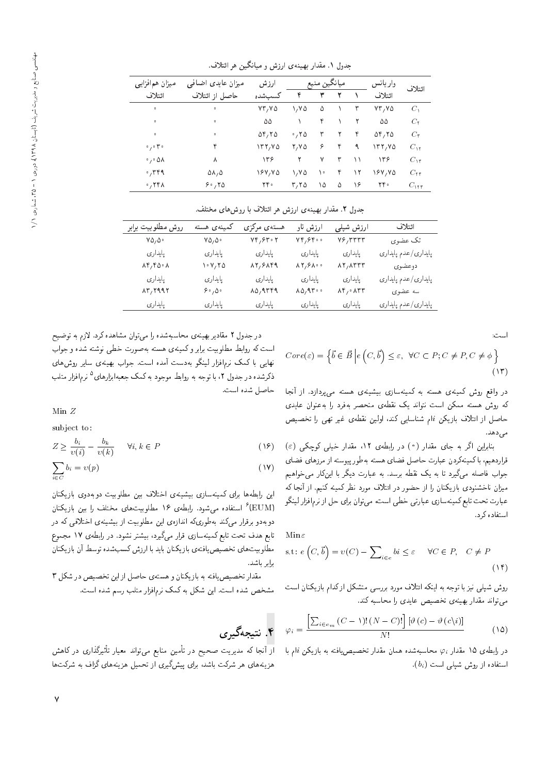| میزان همافزایی                       | میزان عایدی اضافی      | ارزش                           | ميانگين منبع |    |   |    | واريانس                                 | ائتلاف           |
|--------------------------------------|------------------------|--------------------------------|--------------|----|---|----|-----------------------------------------|------------------|
| ائتلاف                               | حاصل از ائتلاف         | كسب شده                        | ۴            | ٣  | ٢ |    | ائتلاف                                  |                  |
| $\bullet$                            | $\mathbf 0$            | VT <sub>1</sub> Y <sub>0</sub> | 1,70         | ۵  |   | ٣  | YY, YQ                                  | $C_{\lambda}$    |
| $\bullet$                            | $\circ$                | ۵۵                             |              | ۴  |   | ٢  | ۵۵                                      | $C_5$            |
| $\bullet$                            | $\circ$                | ۲٫۲۵ ت                         | $\cdot$ , ۲۵ | ٣  | ٢ | ۴  | $\Delta \mathbf{r} / \mathbf{r} \Delta$ | $C_{\mathbf{r}}$ |
| $\circ$ , $\circ$ $\uparrow$ $\circ$ | ۴                      | 177,70                         | 7, V 5       | ۶  | ۴ | ٩  | $\Upsilon$                              | $C_{\rm M}$      |
| $\cdot$ , $\cdot$ $\Delta \Lambda$   | ٨                      | 156                            |              | ٧  | ٣ | ۱۱ | ۱۳۶                                     | $C_{\rm yr}$     |
| $\cdot$ , ۳۴۹                        | $\Delta\lambda/\Delta$ | 187, YA                        | 1,70         | ١٠ | ۴ | ۱۲ | 187,70                                  | $C_{rr}$         |
| $\cdot$ , ۲۴۸                        | 8.70                   | ۲۴۰                            | $r, r_0$     | ۱۵ | ۵ | ۱۶ | ٢۴۰                                     | $C_{\rm{HT}}$    |
|                                      |                        |                                |              |    |   |    |                                         |                  |

جدول ۱. مقدار بهینهی ارزش و میانگین هر ائتلاف.

جدول ۲. مقدار بهینهی ارزش هر ائتلاف با روش های مختلف.

| روش مطلوبيت برابر                       | كمينەي هسته                                                  | هستهى مركزى                              | ارزش تاو                                   | ارزش شپلی                                                 | ائتلاف              |
|-----------------------------------------|--------------------------------------------------------------|------------------------------------------|--------------------------------------------|-----------------------------------------------------------|---------------------|
| $Y\Delta/\Delta$ .                      | $\mathsf{v}\mathsf{\Delta}_{\mathsf{1}}\mathsf{\Delta}\circ$ | $Yf/Fr\cdot Y$                           | $VP,$ $PP$ $\circ$                         | $Y$ ۶, ۳۳۳۳                                               | تک عضوي             |
| پايدارى                                 | پايدارى                                                      | پايدارى                                  | پايدارى                                    | پايدا ری                                                  | پايداري/عدم پايداري |
| $\lambda \gamma f \Delta \cdot \lambda$ | ۲۰۷٬۲۵                                                       | $\lambda$ 2/8 $\lambda$ 4                | $\lambda \Upsilon / 9 \lambda \cdot \cdot$ | $\lambda \Upsilon$ , $\lambda \Upsilon \Upsilon \Upsilon$ | دوعضوي              |
| پايدارى                                 | پايدارى                                                      | پايدارى                                  | پايدارى                                    | پايدارى                                                   | پايداري/عدم پايداري |
| $\lambda$ ۳, ۲۹۹۲                       | $\mathfrak{S} \circ {}_{\mathfrak{f}} \Delta \circ$          | $\lambda \Delta$ <sub>/</sub> 9 $\mu$ ۴۹ | $\lambda \Delta / 9.7$                     | $\lambda$ ۴, $\cdot$ $\lambda$ ۳۳                         | سه عضوى             |
| پايدارى                                 | پايدارى                                                      | پايدارى                                  | پايدارى                                    | پايدا ری                                                  | پايدارى/عدم پايدارى |

است:

$$
Core(\varepsilon) = \left\{ \vec{b} \in \vec{B} \, \middle| \, e \left( C, \vec{b} \right) \le \varepsilon, \, \forall C \subset P; C \neq P, C \neq \phi \right\}
$$
\n
$$
(17)
$$

در واقع روش کمینهی هسته به کمینهسازی بیشینهی هسته می پردازد. از آنجا که روش هسته ممکن است نتواند یک نقطهی منحصر بهفرد را بهعنوان عایدی حاصل از ائتلاف بازیکن iام شناسایی کند، اولین نقطهی غیر تهی را تخصیص می دهد.

 $(\varepsilon)$  بنابراین اگر به جای مقدار (°) در رابطهی ۱۲، مقدار خیلی کوچکی قراردهیم، با کمینهکردن عبارت حاصل فضای هسته بهطور پیوسته از مرزهای فضای جواب فاصله میگیرد تا به یک نقطه برسد. به عبارت دیگر با اینکار می خواهیم میزان ناخشنودی بازیکنان را از حضور در ائتلاف مورد نظر کمینه کنیم. از آنجا که عبارت تحت تابع كمينهسازي عبارتي خطي است، مي توان براي حل از نرم|فزار لينگو استفاده کرد.

Min $\varepsilon$ 

s.t: 
$$
e(C, \vec{b}) = v(C) - \sum_{i \in c} bi \le \varepsilon \quad \forall C \in P, \quad C \ne P
$$
 (1f)

روش شیلی نیز با توجه به اینکه ائتلاف مورد بررسی متشکل ازکدام بازیکنان است می تواند مقدار بهینهی تخصیص عایدی را محاسبه کند.

$$
\varphi_i = \frac{\left[\sum_{i \in e_m} (C - 1)!(N - C)!\right] [\vartheta(c) - \vartheta(c\backslash i)]}{N!}
$$
 (10)

در رابطهی ۱۵ مقدار  $\varphi_i$  محاسبهشده همان مقدار تخصیص یافته به بازیکن  $i$ ام با  $(b_i)$  استفاده از روش شیلی است

در جدول ۲ مقادیر بهینهی محاسبهشده را می توان مشاهده کرد. لازم به توضیح است که روابط مطلوبیت برابر و کمینهی هسته بهصورت خطی نوشته شده و جواب نهایی با کمک نرم|فزار لینگو بهدست آمده است. جواب بهینهی سایر روش های ذکرشده در جدول ۲، با توجه به روابط موجود به کمک جعبهابزارهای<sup>0</sup> نرم|فزار متلب<br>با میلمونیسیا حاصل شده است.

Min Z

subject to:

$$
Z \ge \frac{b_i}{v(i)} - \frac{b_k}{v(k)} \qquad \forall i, k \in P \tag{19}
$$

$$
\sum_{i \in C} b_i = v(p) \tag{1V}
$$

این رابطهها برای کمینهسازی بیشینهی اختلاف بین مطلوبیت دوبهدوی بازیکنان (EUM) " استفاده میشود. رابطهی ۱۶ مطلوبیتهای مختلف را بین بازیکنان<br>مقال میکنید که است که اسلام استان دوبهدو برقرار میرکند بهطوریکه اندازهی این مطلوبیت از بیشینهی اختلافی که در تابع هدف تحت تابع كمينهسازى قرار مىگيرد، بيشتر نشود. در رابطهى ١٧ مجموع مطلوبیتهای تخصیص یافتهی باز یکنان باید با ارزش کسبشده توسط آن بازیکنان برابر باشد.

مقدار تخصیص یافته به بازیکنان و هستهی حاصل از این تخصیص در شکل ۳ مشخص شده است. این شکل به کمک نرمافزار متلب رسم شده است.

# ۴. نتیجهگیری

از آنجا که مدیریت صحیح در تأمین منابع می تواند معیار تأثیرگذاری در کاهش<br>این این مورکی بیان و بیان می گ هزینههای هر شرکت باشد، برای پیشگیری از تحمیل هزینههای گزاف به شرکتها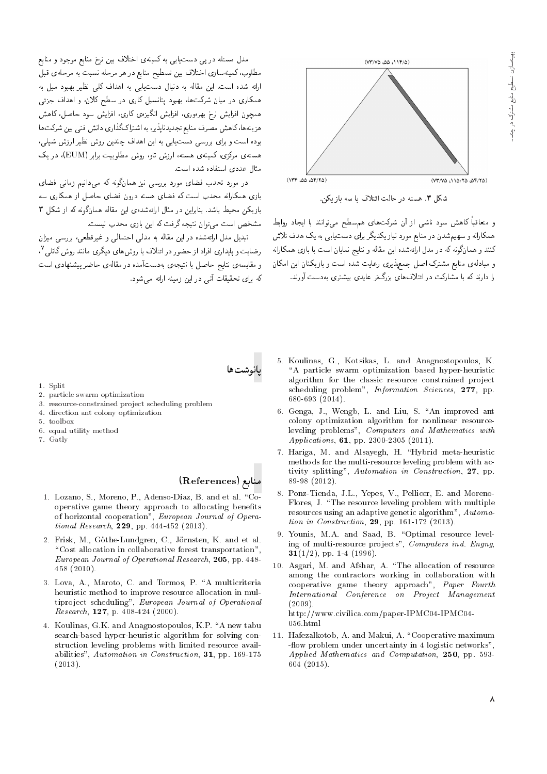

شکل ۳. هسته در حالت ائتلاف با سه بازیکن.

و متعاقباً کاهش سود ناشی از آن شرکتهای هم سطح می توانند با ایجاد روابط همکارانه و سهیم شدن در منابع مورد نیاز یکدیگر برای دست،یابی به یک هدف تلاش کنند و همانگونه که در مدل ارائهشده این مقاله و نتایج نمایان است با بازی همکارانه و مبادلهی منابع مشترک اصل جمعپذیری رعایت شده است و بازیکنان این امکان را دارند که با مشارکت در ائتلافهای بزرگ تر عایدی بیشتری بهدست آورند.

مدل مسئله در یی دست یابی به کمینهی اختلاف بین نرخ منابع موجود و منابع مطلوب، کمینهسازی اختلاف بین تسطیح منابع در هر مرحله نسبت به مرحلهی قبل ارائه شده است. این مقاله به دنبال دست یابی به اهداف کلی نظیر بهبود میل به همکاری در میان شرکتها، بهبود پتانسیل کاری در سطح کلان، و اهداف جزئی همچون افزایش نرخ بهرهوری، افزایش انگیزهی کاری، افزایش سود حاصل، کاهش هزینهها، کاهش مصرف منابع تجدیدناپذیر، به اشتراکگذاری دانش فنی بین شرکتها بوده است و برای بررسی دست یابی به این اهداف چندین روش نظیر ارزش شیلی، هستهی مرکزی، کمینهی هسته، ارزش تاو، روش مطلوبیت برابر (EUM)، در یک مثال عددي استفاده شده است

در مورد تحدب فضای مورد بررسی نیز همانگونه که می،دانیم زمانی فضای .<br>بازی همکارانه محدب است که فضای هسته درون فضای حاصل از همکاری سه بازیکن محیط باشد. بنابراین در مثال ارائهشدهی این مقاله همانگونه که از شکل ۳ مشخص است می توان نتیجه گرفت که این بازی محدب نیست.

تبدیل مدل ارائهشده در این مقاله به مدلی احتمالی و غیرقطعی، بررسی میزان رضایت و پایداری افراد از حضور در ائتلاف با روش های دیگری مانند روش گاتلی ۲ و مقایسه ی نتایج حاصل با نتیجهی بهدستآمده در مقالهی حاضر پیشنهادی است كه براى تحقيقات آتى در اين زمينه ارائه مى شود.



- 1. Split
- 2. particle swarm optimization
- 3. resource-constrained project scheduling problem
- 4. direction ant colony optimization
- $5$  toolbox
- 6. equal utility method
- 7. Gatly

### منابع (References)

- 1. Lozano, S., Moreno, P., Adenso-Díaz, B. and et al. "Cooperative game theory approach to allocating benefits of horizontal cooperation", European Journal of Operational Research, 229, pp. 444-452 (2013).
- 2. Frisk, M., Göthe-Lundgren, C., Jörnsten, K. and et al. "Cost allocation in collaborative forest transportation". European Journal of Operational Research, 205, pp. 448-458 (2010).
- 3. Lova, A., Maroto, C. and Tormos, P. "A multicriteria heuristic method to improve resource allocation in multiproject scheduling", European Journal of Operational Research, 127, p. 408-424 (2000).
- 4. Koulinas, G.K. and Anagnostopoulos, K.P. "A new tabu search-based hyper-heuristic algorithm for solving construction leveling problems with limited resource availabilities", Automation in Construction, 31, pp. 169-175  $(2013).$
- 5. Koulinas, G., Kotsikas, L. and Anagnostopoulos, K. "A particle swarm optimization based hyper-heuristic algorithm for the classic resource constrained project scheduling problem", Information Sciences, 277, pp. 680-693 (2014).
- 6. Genga, J., Wengb, L. and Liu, S. "An improved ant colony optimization algorithm for nonlinear resourceleveling problems", Computers and Mathematics with Applications, 61, pp. 2300-2305 (2011).
- 7. Hariga, M. and Alsayegh, H. "Hybrid meta-heuristic methods for the multi-resource leveling problem with activity splitting", Automation in Construction, 27, pp. 89-98 (2012).
- 8. Ponz-Tienda, J.L., Yepes, V., Pellicer, E. and Moreno-Flores, J. "The resource leveling problem with multiple resources using an adaptive genetic algorithm", Automation in Construction, 29, pp. 161-172 (2013).
- 9. Younis, M.A. and Saad, B. "Optimal resource leveling of multi-resource projects", Computers ind. Engng, **31**(1/2), pp. 1-4 (1996).
- 10. Asgari, M. and Afshar, A. "The allocation of resource among the contractors working in collaboration with cooperative game theory approach", Paper Fourth International Conference on Project Management  $(2009)$ .

http://www.civilica.com/paper-IPMC04-IPMC04- $056.html$ 

11. Hafezalkotob, A. and Makui, A. "Cooperative maximum -flow problem under uncertainty in 4 logistic networks", Applied Mathematics and Computation, 250, pp. 593- $604(2015)$ .